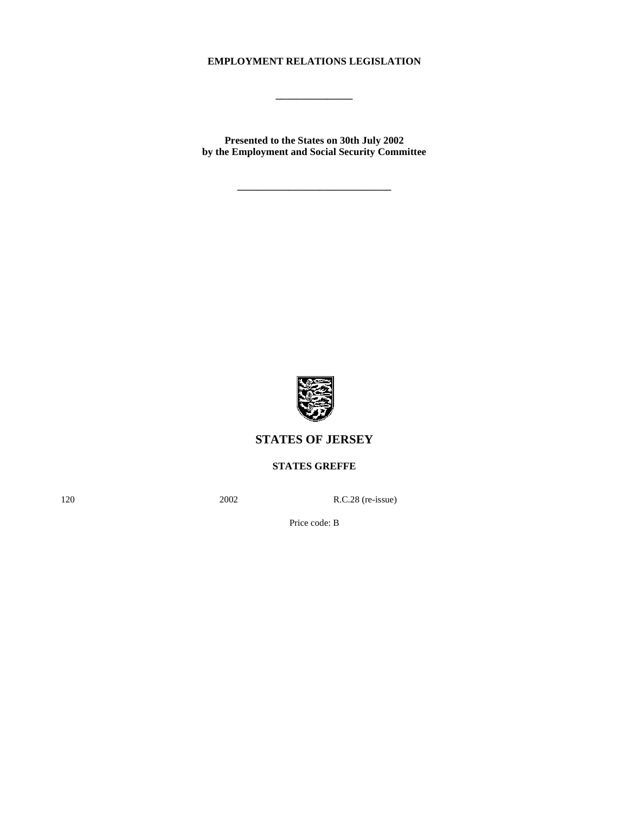# **EMPLOYMENT RELATIONS LEGISLATION**

**\_\_\_\_\_\_\_\_\_\_\_\_\_\_\_**

**Presented to the States on 30th July 2002 by the Employment and Social Security Committee**

**\_\_\_\_\_\_\_\_\_\_\_\_\_\_\_\_\_\_\_\_\_\_\_\_\_\_\_\_\_\_**



# **STATES OF JERSEY**

**STATES GREFFE**

120 2002 R.C.28 (re-issue)

Price code: B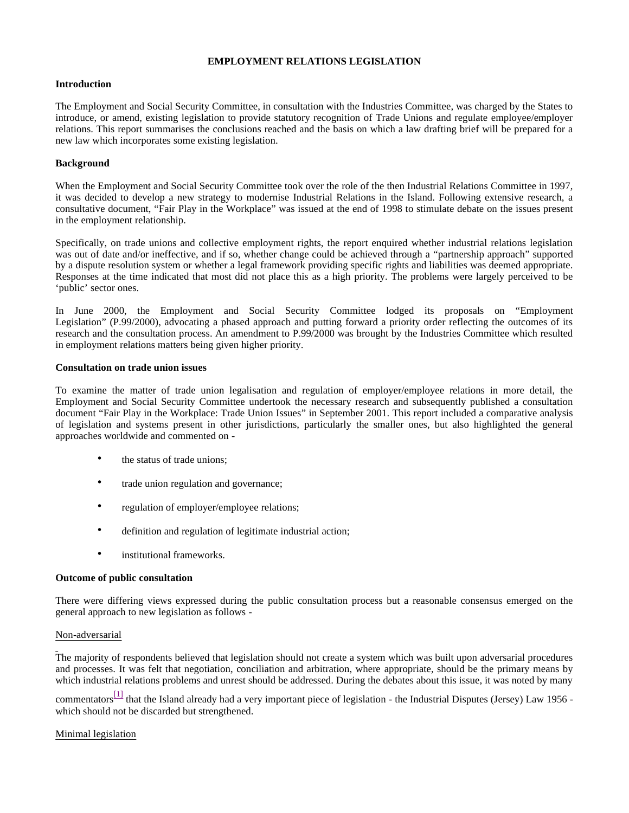## **EMPLOYMENT RELATIONS LEGISLATION**

## **Introduction**

The Employment and Social Security Committee, in consultation with the Industries Committee, was charged by the States to introduce, or amend, existing legislation to provide statutory recognition of Trade Unions and regulate employee/employer relations. This report summarises the conclusions reached and the basis on which a law drafting brief will be prepared for a new law which incorporates some existing legislation.

# **Background**

When the Employment and Social Security Committee took over the role of the then Industrial Relations Committee in 1997, it was decided to develop a new strategy to modernise Industrial Relations in the Island. Following extensive research, a consultative document, "Fair Play in the Workplace" was issued at the end of 1998 to stimulate debate on the issues present in the employment relationship.

Specifically, on trade unions and collective employment rights, the report enquired whether industrial relations legislation was out of date and/or ineffective, and if so, whether change could be achieved through a "partnership approach" supported by a dispute resolution system or whether a legal framework providing specific rights and liabilities was deemed appropriate. Responses at the time indicated that most did not place this as a high priority. The problems were largely perceived to be 'public' sector ones.

In June 2000, the Employment and Social Security Committee lodged its proposals on "Employment Legislation" (P.99/2000), advocating a phased approach and putting forward a priority order reflecting the outcomes of its research and the consultation process. An amendment to P.99/2000 was brought by the Industries Committee which resulted in employment relations matters being given higher priority.

## **Consultation on trade union issues**

To examine the matter of trade union legalisation and regulation of employer/employee relations in more detail, the Employment and Social Security Committee undertook the necessary research and subsequently published a consultation document "Fair Play in the Workplace: Trade Union Issues" in September 2001. This report included a comparative analysis of legislation and systems present in other jurisdictions, particularly the smaller ones, but also highlighted the general approaches worldwide and commented on -

- the status of trade unions:
- trade union regulation and governance;
- regulation of employer/employee relations;
- definition and regulation of legitimate industrial action;
- institutional frameworks.

## **Outcome of public consultation**

There were differing views expressed during the public consultation process but a reasonable consensus emerged on the general approach to new legislation as follows -

## Non-adversarial

The majority of respondents believed that legislation should not create a system which was built upon adversarial procedures and processes. It was felt that negotiation, conciliation and arbitration, where appropriate, should be the primary means by which industrial relations problems and unrest should be addressed. During the debates about this issue, it was noted by many

commentators<sup>[1]</sup> that the Island already had a very important piece of legislation - the Industrial Disputes (Jersey) Law 1956 which should not be discarded but strengthened.

# Minimal legislation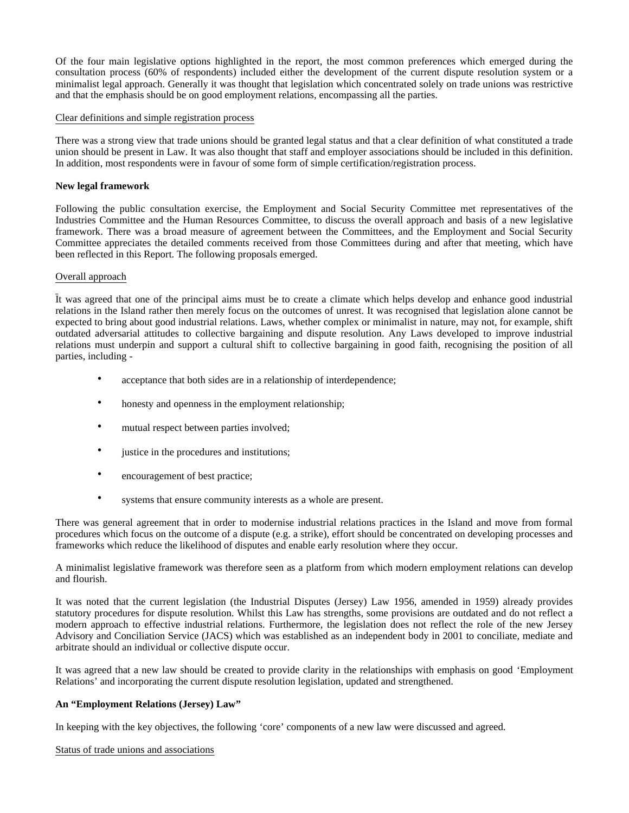Of the four main legislative options highlighted in the report, the most common preferences which emerged during the consultation process (60% of respondents) included either the development of the current dispute resolution system or a minimalist legal approach. Generally it was thought that legislation which concentrated solely on trade unions was restrictive and that the emphasis should be on good employment relations, encompassing all the parties.

## Clear definitions and simple registration process

There was a strong view that trade unions should be granted legal status and that a clear definition of what constituted a trade union should be present in Law. It was also thought that staff and employer associations should be included in this definition. In addition, most respondents were in favour of some form of simple certification/registration process.

## **New legal framework**

Following the public consultation exercise, the Employment and Social Security Committee met representatives of the Industries Committee and the Human Resources Committee, to discuss the overall approach and basis of a new legislative framework. There was a broad measure of agreement between the Committees, and the Employment and Social Security Committee appreciates the detailed comments received from those Committees during and after that meeting, which have been reflected in this Report. The following proposals emerged.

## Overall approach

It was agreed that one of the principal aims must be to create a climate which helps develop and enhance good industrial relations in the Island rather then merely focus on the outcomes of unrest. It was recognised that legislation alone cannot be expected to bring about good industrial relations. Laws, whether complex or minimalist in nature, may not, for example, shift outdated adversarial attitudes to collective bargaining and dispute resolution. Any Laws developed to improve industrial relations must underpin and support a cultural shift to collective bargaining in good faith, recognising the position of all parties, including -

- acceptance that both sides are in a relationship of interdependence;
- honesty and openness in the employment relationship;
- mutual respect between parties involved;
- justice in the procedures and institutions;
- encouragement of best practice;
- systems that ensure community interests as a whole are present.

There was general agreement that in order to modernise industrial relations practices in the Island and move from formal procedures which focus on the outcome of a dispute (e.g. a strike), effort should be concentrated on developing processes and frameworks which reduce the likelihood of disputes and enable early resolution where they occur.

A minimalist legislative framework was therefore seen as a platform from which modern employment relations can develop and flourish.

It was noted that the current legislation (the Industrial Disputes (Jersey) Law 1956, amended in 1959) already provides statutory procedures for dispute resolution. Whilst this Law has strengths, some provisions are outdated and do not reflect a modern approach to effective industrial relations. Furthermore, the legislation does not reflect the role of the new Jersey Advisory and Conciliation Service (JACS) which was established as an independent body in 2001 to conciliate, mediate and arbitrate should an individual or collective dispute occur.

It was agreed that a new law should be created to provide clarity in the relationships with emphasis on good 'Employment Relations' and incorporating the current dispute resolution legislation, updated and strengthened.

## **An "Employment Relations (Jersey) Law"**

In keeping with the key objectives, the following 'core' components of a new law were discussed and agreed.

Status of trade unions and associations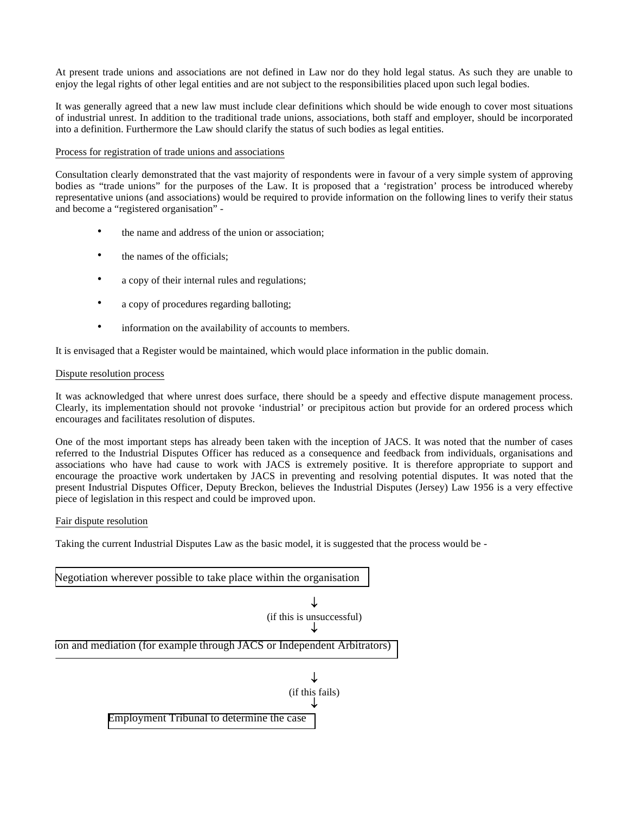At present trade unions and associations are not defined in Law nor do they hold legal status. As such they are unable to enjoy the legal rights of other legal entities and are not subject to the responsibilities placed upon such legal bodies.

It was generally agreed that a new law must include clear definitions which should be wide enough to cover most situations of industrial unrest. In addition to the traditional trade unions, associations, both staff and employer, should be incorporated into a definition. Furthermore the Law should clarify the status of such bodies as legal entities.

## Process for registration of trade unions and associations

Consultation clearly demonstrated that the vast majority of respondents were in favour of a very simple system of approving bodies as "trade unions" for the purposes of the Law. It is proposed that a 'registration' process be introduced whereby representative unions (and associations) would be required to provide information on the following lines to verify their status and become a "registered organisation" -

- the name and address of the union or association;
- the names of the officials;
- a copy of their internal rules and regulations;
- a copy of procedures regarding balloting;
- information on the availability of accounts to members.

It is envisaged that a Register would be maintained, which would place information in the public domain.

## Dispute resolution process

It was acknowledged that where unrest does surface, there should be a speedy and effective dispute management process. Clearly, its implementation should not provoke 'industrial' or precipitous action but provide for an ordered process which encourages and facilitates resolution of disputes.

One of the most important steps has already been taken with the inception of JACS. It was noted that the number of cases referred to the Industrial Disputes Officer has reduced as a consequence and feedback from individuals, organisations and associations who have had cause to work with JACS is extremely positive. It is therefore appropriate to support and encourage the proactive work undertaken by JACS in preventing and resolving potential disputes. It was noted that the present Industrial Disputes Officer, Deputy Breckon, believes the Industrial Disputes (Jersey) Law 1956 is a very effective piece of legislation in this respect and could be improved upon.

## Fair dispute resolution

Taking the current Industrial Disputes Law as the basic model, it is suggested that the process would be -

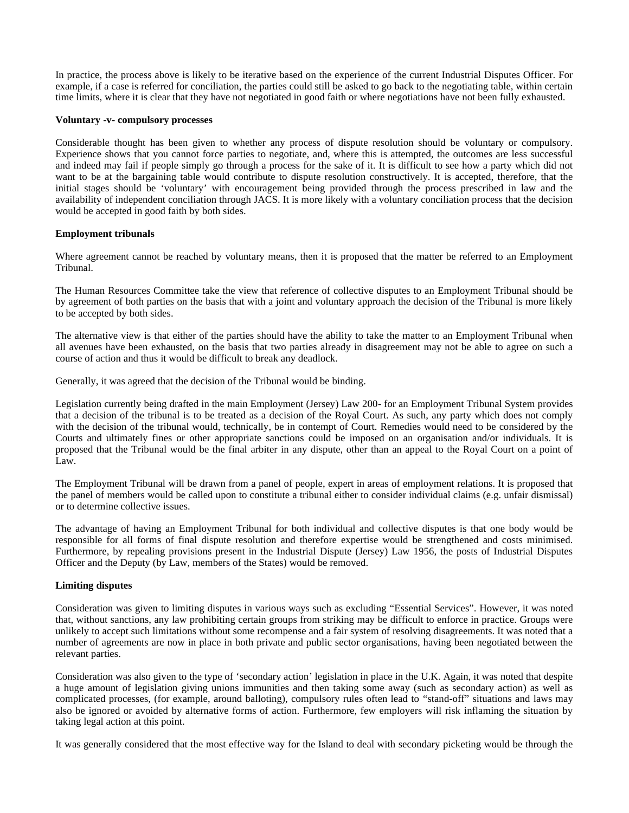In practice, the process above is likely to be iterative based on the experience of the current Industrial Disputes Officer. For example, if a case is referred for conciliation, the parties could still be asked to go back to the negotiating table, within certain time limits, where it is clear that they have not negotiated in good faith or where negotiations have not been fully exhausted.

#### **Voluntary -v- compulsory processes**

Considerable thought has been given to whether any process of dispute resolution should be voluntary or compulsory. Experience shows that you cannot force parties to negotiate, and, where this is attempted, the outcomes are less successful and indeed may fail if people simply go through a process for the sake of it. It is difficult to see how a party which did not want to be at the bargaining table would contribute to dispute resolution constructively. It is accepted, therefore, that the initial stages should be 'voluntary' with encouragement being provided through the process prescribed in law and the availability of independent conciliation through JACS. It is more likely with a voluntary conciliation process that the decision would be accepted in good faith by both sides.

## **Employment tribunals**

Where agreement cannot be reached by voluntary means, then it is proposed that the matter be referred to an Employment Tribunal.

The Human Resources Committee take the view that reference of collective disputes to an Employment Tribunal should be by agreement of both parties on the basis that with a joint and voluntary approach the decision of the Tribunal is more likely to be accepted by both sides.

The alternative view is that either of the parties should have the ability to take the matter to an Employment Tribunal when all avenues have been exhausted, on the basis that two parties already in disagreement may not be able to agree on such a course of action and thus it would be difficult to break any deadlock.

Generally, it was agreed that the decision of the Tribunal would be binding.

Legislation currently being drafted in the main Employment (Jersey) Law 200- for an Employment Tribunal System provides that a decision of the tribunal is to be treated as a decision of the Royal Court. As such, any party which does not comply with the decision of the tribunal would, technically, be in contempt of Court. Remedies would need to be considered by the Courts and ultimately fines or other appropriate sanctions could be imposed on an organisation and/or individuals. It is proposed that the Tribunal would be the final arbiter in any dispute, other than an appeal to the Royal Court on a point of Law.

The Employment Tribunal will be drawn from a panel of people, expert in areas of employment relations. It is proposed that the panel of members would be called upon to constitute a tribunal either to consider individual claims (e.g. unfair dismissal) or to determine collective issues.

The advantage of having an Employment Tribunal for both individual and collective disputes is that one body would be responsible for all forms of final dispute resolution and therefore expertise would be strengthened and costs minimised. Furthermore, by repealing provisions present in the Industrial Dispute (Jersey) Law 1956, the posts of Industrial Disputes Officer and the Deputy (by Law, members of the States) would be removed.

## **Limiting disputes**

Consideration was given to limiting disputes in various ways such as excluding "Essential Services". However, it was noted that, without sanctions, any law prohibiting certain groups from striking may be difficult to enforce in practice. Groups were unlikely to accept such limitations without some recompense and a fair system of resolving disagreements. It was noted that a number of agreements are now in place in both private and public sector organisations, having been negotiated between the relevant parties.

Consideration was also given to the type of 'secondary action' legislation in place in the U.K. Again, it was noted that despite a huge amount of legislation giving unions immunities and then taking some away (such as secondary action) as well as complicated processes, (for example, around balloting), compulsory rules often lead to "stand-off" situations and laws may also be ignored or avoided by alternative forms of action. Furthermore, few employers will risk inflaming the situation by taking legal action at this point.

It was generally considered that the most effective way for the Island to deal with secondary picketing would be through the